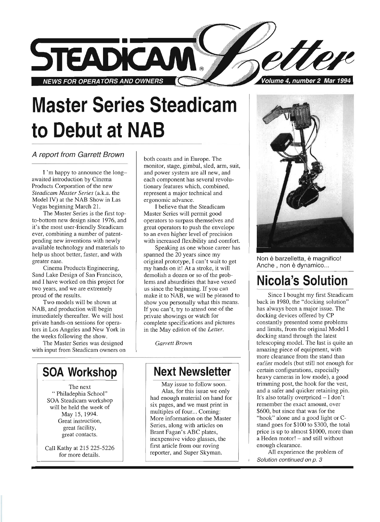

# **Master Series Steadicam to Debut at NAB**

#### A report from Garrett Brown

I'm happy to announce the longawaited introduction by Cinema Products Corporation of the new *Steadicam Master Series* (a.k.a. the Model IV) at the NAB Show in Las Vegas beginning March 2l.

The Master Series is the first topto-bottom new design since 1976, and it's the most user-friendly Steadicam ever, combining a number of patentpending new inventions with newly available technology and materials to help us shoot better, faster, and with greater ease.

Cinema Products Engineering, Sand Lake Design of San Francisco, and I have worked on this project for two years, and we are extremely proud of the results.

Two models will be shown at NAB, and production will begin immediately thereafter. We will host private hands-on sessions for operators in Los Angeles and New York in the weeks following the show.

The Master Series was designed with input from Steadicam owners on

**SOA Workshop** 

The next " Philadephia School" SOA Steadicam workshop will be held the week of May 15, 1994. Great instruction, great facility, great contacts.

Call Kathy at 215225-5226 for more details.

both coasts and in Europe. The monitor, stage, gimbal, sled, arm, suit, and power system are all new, and each component has several revolutionary features which, combined, represent a major technical and ergonomic advance.

I believe that the Steadicam Master Series will permit good operators to surpass themselves and great operators to push the envelope to an even higher level of precision with increased flexibility and comfort,

Speaking as one whose career has spanned the 20 years since my original prototype, I can't wait to get my hands on it! At a stroke, it will demolish a dozen or so of the problems and absurdities that have vexed us since the beginning. If you can make it to NAB, we will be pleased to show you personally what this means. If you can't, try to attend one of the private showings or watch for complete specifications and pictures in the May edition of the *Letter.* 

*Garrett Brown* 

### **Next Newsletter**

May issue to follow soon. Alas, for this issue we only had enough material on hand for six pages, and we must print in multiples of four... Coming: More information on the Master Series, along with articles on Brant Fagan's ABC plates, inexpensive video glasses, the first article from our roving reporter, and Super Skyman.



Non è barzelletta, è magnifico! Anche, non è dynamico...

## **Nicola's Solution**

Since I bought my first Steadicam back in 1980, the "docking solution" has always been a major issue. The docking devices offered by CP constantly presented some problems and limits, from the original Model I docking stand through the latest telescoping model. The last is quite an amazing piece of equipment, with more clearance from the stand than earlier models (but still not enough for certain configurations, especially heavy cameras in low mode), a good trimming post, the hook for the vest, and a safer and quicker retaining pin. It's also totally overpriced - I don't remember the exact amount, over \$600, but since that was for the "hook" alone and a good light or Cstand goes for \$100 to \$300, the total price is up to almost \$1000, more than a Heden motor! - and still without enough clearance.

All experience the problem of Solution continued on p. 3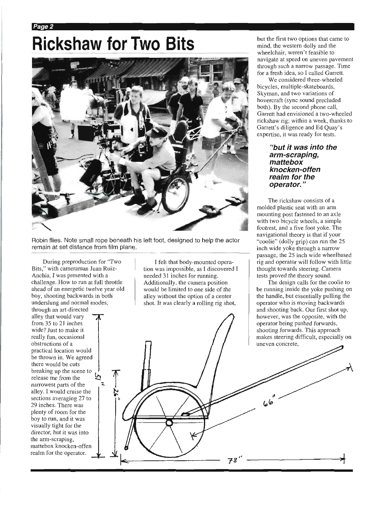## Rickshaw for Two Bits **Matter Right Aveloptions** that came to **Rickshaw for Two Bits** *mind*, the western dolly and the

Page 2



Robin flies. Note small rope beneath his left foot, designed to help the actor remain at set distance from film plane.

During preproduction for "Two Bits," with cameraman Juan Ruiz-Anchia, I was presented with a challenge. How to run at full throttle ahead of an energetic twelve year old boy, shooting backwards in both underslung and normal modes,

through an art-directed alley that would vary from 35 to 21 inches wide? Just to make it really fun, occasional obstructions of a practical location would be thrown in. We agreed there would be cuts breaking up the scene to release me from the narrowest parts of the alley. I would cruise the sections averaging 27 to 29 inches. There was plenty of room for the boy to run, and it was visually tight for the director, but it was into the arm-scraping, mattebox knocken-offen realm for the operator.

I felt that body-mounted operation was impossible, as I discovered I needed 31 inches for running. Additionally, the camera position would be limited to one side of the alley without the option of a center shot. It was clearly a rolling rig shot,

**78** I'

wheelchair, weren't feasible to navigate at speed on uneven pavement through such a narrow passage. Time for a fresh idea, so I called Garrett.

We considered three-wheeled bicycles, multiple-skateboards, Skyman, and two variations of hovercraft (sync sound precluded both). By the second phone call, Garrett had envisioned a two-wheeled rickshaw rig; within a week, thanks to Garrett's diligence and Ed Quay's expertise, it was ready for tests.

#### **"but it was into the arm-scraping, mattebox knocken-offen realm for the operator. "**

The rickshaw consists of a molded plastic seat with an arm mounting post fastened to an axle with two bicycle wheels, a simple footrest, and a five foot yoke. The navigational theory is that if your "coolie" (dolly grip) can run the 25 inch wide yoke through a narrow passage, the 25 inch wide wheelbased rig and operator will follow with little thought towards steering. Camera tests proved the theory sound.

The design calls for the coolie to be running inside the yoke pushing on the handle, but essentially pulling the operator who is moving backwards and shooting back. Our first shot up, however, was the opposite, with the operator being pushed forwards, shooting forwards. This approach makes steering difficult, especially on uneven concrete,

----------;~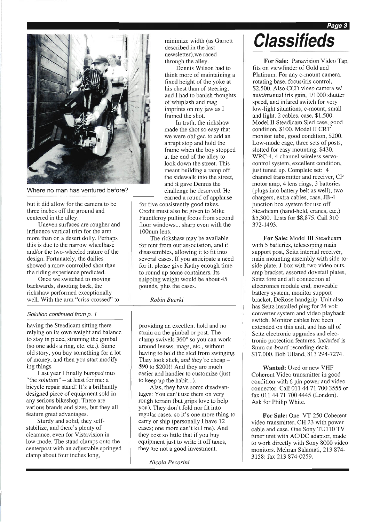Page 3



Where no man has ventured before?

but it did allow for the camera to be three inches off the ground and centered in the alley.

Uneven surfaces are rougher and influence vertical trim for the arm more than on a desert dolly. Perhaps this is due to the narrow wheelbase and/or the two-wheeled nature of the design. Fortunately, the dailies showed a more controlled shot than the riding experience predicted.

Once we switched to moving backwards, shooting back, the rickshaw performed exceptionally well. With the arm "criss-crossed" to

#### Solution continued from p. 1

having the Steadicam sitting there relying on its own weight and balance to stay in place, straining the gimbal (so one adds a ring, etc. etc.). Same old story, you buy something for a lot of money, and then you start modifying things.

Last year I finally bumped into "the solution" - at least for me: a bicycle repair stand! It's a brilliantly designed piece of equipment sold in any serious bikeshop. There are various brands and sizes, but they all feature great advantages.

Sturdy and solid, they selfstabilize, and there's plenty of clearance, even for Vistavision in low-mode. The stand clamps onto the centerpost with an adjustable springed clamp about four inches long,

minimize width (as Garrett described in the last newsletter),we raced through the alley.

Dennis Wilson had to think more of maintaining a fixed height of the yoke at his chest than of steering, and I had to banish thoughts of whiplash and mag imprints on my jaw as I framed the shot.

In truth, the rickshaw made the shot so easy that we were obliged to add an abrupt stop and hold the frame when the boy stopped at the end of the alley to look down the street. This meant building a ramp off the sidewalk into the street, and it gave Dennis the challenge he deserved. He earned a round of applause

for five consistently good takes. Credit must also be given to Mike Fauntleroy pulling focus from second floor windows ... sharp even with the 100mm lens.

The rickshaw may be available for rent from our association, and it disassembles, allowing it to fit into several cases. If you anticipate a need for it, please give Kathy enough time to round up some containers. Its shipping weight would be about 45 pounds, plus the cases.

*Robin Buerki* 

providing an excellent hold and no strain on the gimbal or post. The clamp swivels  $360^\circ$  so you can work around lenses, mags, etc., without having to hold the sled from swinging. They look slick, and they're cheap- \$90 to \$200!! And they are much easier and handier to customize (just to keep up the habit...) .

Alas, they have some disadvantages: You can't use them on very rough terrain (but grips love to help you). They don't fold nor fit into regular cases, so it's one more thing to carry or ship (personally I have 12 cases; one more can't kill me). And they cost so little that if you buy equipment just to write it off taxes, they are not a good investment.

*Nicola Pecorini* 

## **Classifieds**

For Sale: Panavision Video Tap, fits on viewfinder of Gold and Platinum. For any c-mount camera, rotating base, focus/iris control, \$2,500. Also CCD video camera w/ auto/manual iris gain, 1/1000 shutter speed, and infared switch for very low-light situations, c-mount, small and light. 2 cables, case, \$1,500. Model II Steadicam Sled case, good condition, \$100. Model II CRT monitor tube, good condition, \$200. Low-mode cage, three sets of posts, slotted for easy mounting, \$430. WRC-4, 4 channel wireless servocontrol system, excellent condition, just tuned up. Complete set: 4 channel transmitter and receiver, CP motor amp, 4 lens rings, 3 batteries (plugs into battery belt as well), two chargers, extra cables, case, JB-4 junction box system for use off Steadicam (hand-held, cranes, etc.) \$5,300. Lists for \$8,875. Call 310 372-1493 .

For Sale: Model III Steadicam with 5 batteries, telescoping main support post, Seitz internal receiver, main mounting assembly with side-toside plate, J-box with two video outs, amp bracket, assorted dovetail plates, Seitz fore and aft connection at electronics module end, moveable battery system, monitor support bracket, DeRose handgrip. Unit also has Seitz installed plug for 24 volt converter system and video playback switch. Monitor cables hve been extended on this unit, and has all of Seitz electronic upgrades and electronic protection features . Included is 8mm on-board recording deck. \$17,000. Bob Ulland, 813 294-7274.

Wanted: Used or new VHF Coherent Video transmitter in good condition with 6 pin power and video connector. Call 011 44 71 700 3555 or fax 011 4471 7004445 (London). Ask for Philip White.

For Sale: One VT-250 Coherent video transmitter, CH 23 with power cable and case. One Sony TU110 TV tuner unit with AC/DC adaptor, made to work directly with Sony 8000 video monitors. Mehran Salamati, 213874- 3158; fax 213 874-0259.